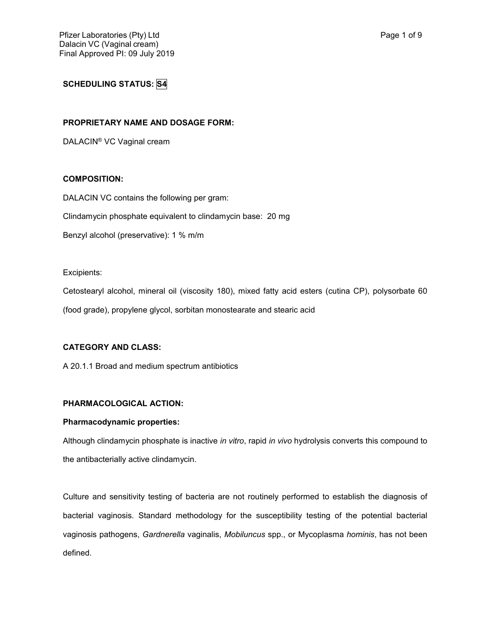# **SCHEDULING STATUS: S4**

## **PROPRIETARY NAME AND DOSAGE FORM:**

DALACIN® VC Vaginal cream

## **COMPOSITION:**

DALACIN VC contains the following per gram:

Clindamycin phosphate equivalent to clindamycin base: 20 mg

Benzyl alcohol (preservative): 1 % m/m

Excipients:

Cetostearyl alcohol, mineral oil (viscosity 180), mixed fatty acid esters (cutina CP), polysorbate 60 (food grade), propylene glycol, sorbitan monostearate and stearic acid

## **CATEGORY AND CLASS:**

A 20.1.1 Broad and medium spectrum antibiotics

## **PHARMACOLOGICAL ACTION:**

#### **Pharmacodynamic properties:**

Although clindamycin phosphate is inactive *in vitro*, rapid *in vivo* hydrolysis converts this compound to the antibacterially active clindamycin.

Culture and sensitivity testing of bacteria are not routinely performed to establish the diagnosis of bacterial vaginosis. Standard methodology for the susceptibility testing of the potential bacterial vaginosis pathogens, *Gardnerella* vaginalis, *Mobiluncus* spp., or Mycoplasma *hominis*, has not been defined.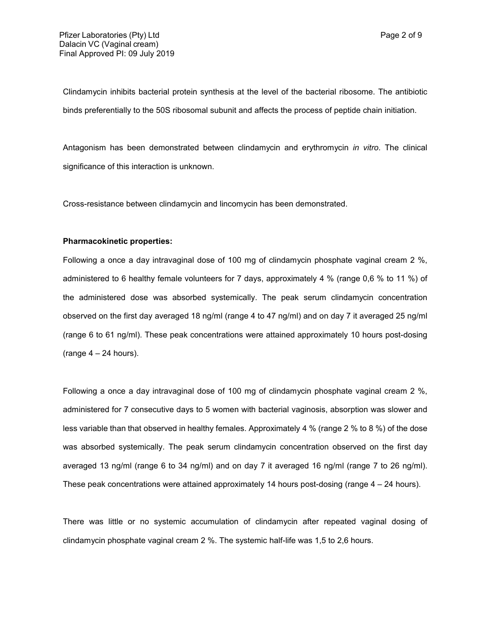Clindamycin inhibits bacterial protein synthesis at the level of the bacterial ribosome. The antibiotic binds preferentially to the 50S ribosomal subunit and affects the process of peptide chain initiation.

Antagonism has been demonstrated between clindamycin and erythromycin *in vitro*. The clinical significance of this interaction is unknown.

Cross-resistance between clindamycin and lincomycin has been demonstrated.

#### **Pharmacokinetic properties:**

Following a once a day intravaginal dose of 100 mg of clindamycin phosphate vaginal cream 2 %, administered to 6 healthy female volunteers for 7 days, approximately 4 % (range 0,6 % to 11 %) of the administered dose was absorbed systemically. The peak serum clindamycin concentration observed on the first day averaged 18 ng/ml (range 4 to 47 ng/ml) and on day 7 it averaged 25 ng/ml (range 6 to 61 ng/ml). These peak concentrations were attained approximately 10 hours post-dosing (range  $4 - 24$  hours).

Following a once a day intravaginal dose of 100 mg of clindamycin phosphate vaginal cream 2 %, administered for 7 consecutive days to 5 women with bacterial vaginosis, absorption was slower and less variable than that observed in healthy females. Approximately 4 % (range 2 % to 8 %) of the dose was absorbed systemically. The peak serum clindamycin concentration observed on the first day averaged 13 ng/ml (range 6 to 34 ng/ml) and on day 7 it averaged 16 ng/ml (range 7 to 26 ng/ml). These peak concentrations were attained approximately 14 hours post-dosing (range  $4 - 24$  hours).

There was little or no systemic accumulation of clindamycin after repeated vaginal dosing of clindamycin phosphate vaginal cream 2 %. The systemic half-life was 1,5 to 2,6 hours.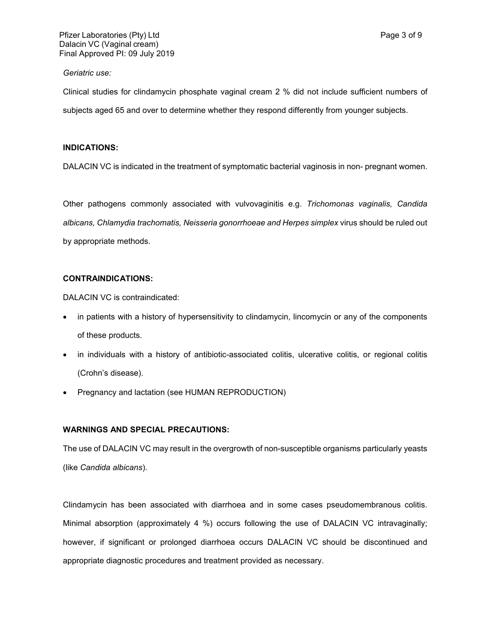#### *Geriatric use:*

Clinical studies for clindamycin phosphate vaginal cream 2 % did not include sufficient numbers of subjects aged 65 and over to determine whether they respond differently from younger subjects.

#### **INDICATIONS:**

DALACIN VC is indicated in the treatment of symptomatic bacterial vaginosis in non- pregnant women.

Other pathogens commonly associated with vulvovaginitis e.g. *Trichomonas vaginalis, Candida albicans, Chlamydia trachomatis, Neisseria gonorrhoeae and Herpes simplex* virus should be ruled out by appropriate methods.

## **CONTRAINDICATIONS:**

DALACIN VC is contraindicated:

- in patients with a history of hypersensitivity to clindamycin, lincomycin or any of the components of these products.
- in individuals with a history of antibiotic-associated colitis, ulcerative colitis, or regional colitis (Crohn's disease).
- Pregnancy and lactation (see HUMAN REPRODUCTION)

## **WARNINGS AND SPECIAL PRECAUTIONS:**

The use of DALACIN VC may result in the overgrowth of non-susceptible organisms particularly yeasts (like *Candida albicans*).

Clindamycin has been associated with diarrhoea and in some cases pseudomembranous colitis. Minimal absorption (approximately 4 %) occurs following the use of DALACIN VC intravaginally; however, if significant or prolonged diarrhoea occurs DALACIN VC should be discontinued and appropriate diagnostic procedures and treatment provided as necessary.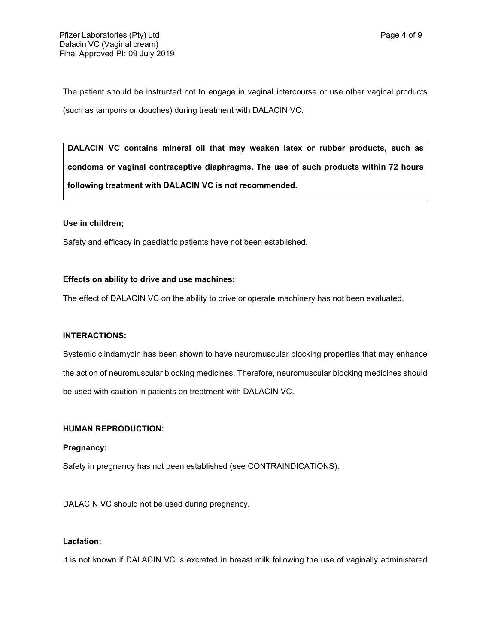The patient should be instructed not to engage in vaginal intercourse or use other vaginal products (such as tampons or douches) during treatment with DALACIN VC.

**DALACIN VC contains mineral oil that may weaken latex or rubber products, such as condoms or vaginal contraceptive diaphragms. The use of such products within 72 hours following treatment with DALACIN VC is not recommended.**

#### **Use in children;**

Safety and efficacy in paediatric patients have not been established.

#### **Effects on ability to drive and use machines:**

The effect of DALACIN VC on the ability to drive or operate machinery has not been evaluated.

## **INTERACTIONS:**

Systemic clindamycin has been shown to have neuromuscular blocking properties that may enhance the action of neuromuscular blocking medicines. Therefore, neuromuscular blocking medicines should be used with caution in patients on treatment with DALACIN VC.

## **HUMAN REPRODUCTION:**

#### **Pregnancy:**

Safety in pregnancy has not been established (see CONTRAINDICATIONS).

DALACIN VC should not be used during pregnancy.

## **Lactation:**

It is not known if DALACIN VC is excreted in breast milk following the use of vaginally administered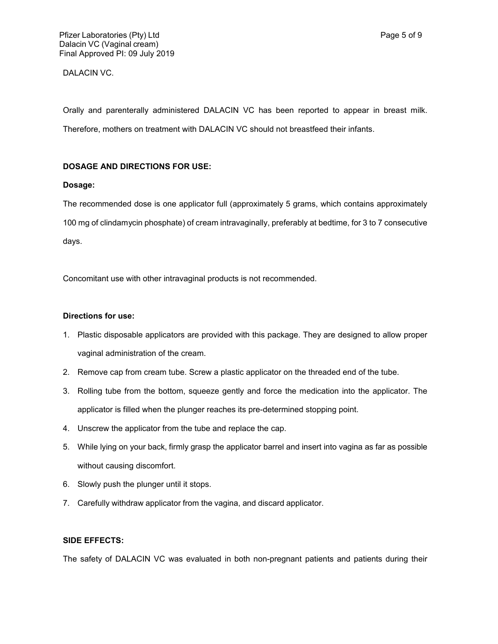## DALACIN VC.

Orally and parenterally administered DALACIN VC has been reported to appear in breast milk. Therefore, mothers on treatment with DALACIN VC should not breastfeed their infants.

## **DOSAGE AND DIRECTIONS FOR USE:**

## **Dosage:**

The recommended dose is one applicator full (approximately 5 grams, which contains approximately 100 mg of clindamycin phosphate) of cream intravaginally, preferably at bedtime, for 3 to 7 consecutive days.

Concomitant use with other intravaginal products is not recommended.

## **Directions for use:**

- 1. Plastic disposable applicators are provided with this package. They are designed to allow proper vaginal administration of the cream.
- 2. Remove cap from cream tube. Screw a plastic applicator on the threaded end of the tube.
- 3. Rolling tube from the bottom, squeeze gently and force the medication into the applicator. The applicator is filled when the plunger reaches its pre-determined stopping point.
- 4. Unscrew the applicator from the tube and replace the cap.
- 5. While lying on your back, firmly grasp the applicator barrel and insert into vagina as far as possible without causing discomfort.
- 6. Slowly push the plunger until it stops.
- 7. Carefully withdraw applicator from the vagina, and discard applicator.

## **SIDE EFFECTS:**

The safety of DALACIN VC was evaluated in both non-pregnant patients and patients during their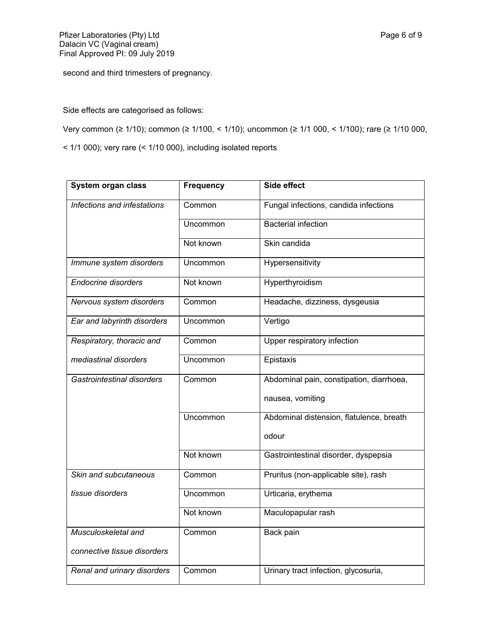second and third trimesters of pregnancy.

Side effects are categorised as follows:

Very common (≥ 1/10); common (≥ 1/100, < 1/10); uncommon (≥ 1/1 000, < 1/100); rare (≥ 1/10 000,

< 1/1 000); very rare (< 1/10 000), including isolated reports

| System organ class          | <b>Frequency</b> | Side effect                              |
|-----------------------------|------------------|------------------------------------------|
| Infections and infestations | Common           | Fungal infections, candida infections    |
|                             | Uncommon         | <b>Bacterial infection</b>               |
|                             | Not known        | Skin candida                             |
| Immune system disorders     | Uncommon         | Hypersensitivity                         |
| <b>Endocrine disorders</b>  | Not known        | Hyperthyroidism                          |
| Nervous system disorders    | Common           | Headache, dizziness, dysgeusia           |
| Ear and labyrinth disorders | Uncommon         | Vertigo                                  |
| Respiratory, thoracic and   | Common           | Upper respiratory infection              |
| mediastinal disorders       | Uncommon         | Epistaxis                                |
| Gastrointestinal disorders  | Common           | Abdominal pain, constipation, diarrhoea, |
|                             |                  | nausea, vomiting                         |
|                             | Uncommon         | Abdominal distension, flatulence, breath |
|                             |                  | odour                                    |
|                             | Not known        | Gastrointestinal disorder, dyspepsia     |
| Skin and subcutaneous       | Common           | Pruritus (non-applicable site), rash     |
| tissue disorders            | Uncommon         | Urticaria, erythema                      |
|                             | Not known        | Maculopapular rash                       |
| Musculoskeletal and         | Common           | Back pain                                |
| connective tissue disorders |                  |                                          |
| Renal and urinary disorders | Common           | Urinary tract infection, glycosuria,     |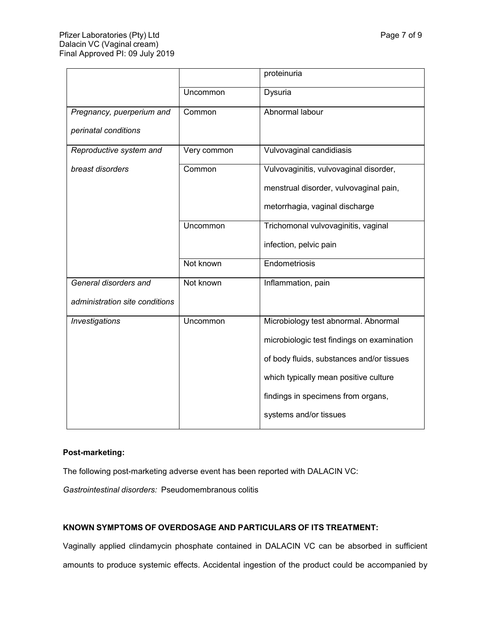|                                |             | proteinuria                                |
|--------------------------------|-------------|--------------------------------------------|
|                                | Uncommon    | Dysuria                                    |
| Pregnancy, puerperium and      | Common      | Abnormal labour                            |
| perinatal conditions           |             |                                            |
| Reproductive system and        | Very common | Vulvovaginal candidiasis                   |
| breast disorders               | Common      | Vulvovaginitis, vulvovaginal disorder,     |
|                                |             | menstrual disorder, vulvovaginal pain,     |
|                                |             | metorrhagia, vaginal discharge             |
|                                | Uncommon    | Trichomonal vulvovaginitis, vaginal        |
|                                |             | infection, pelvic pain                     |
|                                | Not known   | Endometriosis                              |
| General disorders and          | Not known   | Inflammation, pain                         |
| administration site conditions |             |                                            |
| Investigations                 | Uncommon    | Microbiology test abnormal. Abnormal       |
|                                |             | microbiologic test findings on examination |
|                                |             | of body fluids, substances and/or tissues  |
|                                |             | which typically mean positive culture      |
|                                |             | findings in specimens from organs,         |
|                                |             | systems and/or tissues                     |

# **Post-marketing:**

The following post-marketing adverse event has been reported with DALACIN VC:

*Gastrointestinal disorders:* Pseudomembranous colitis

# **KNOWN SYMPTOMS OF OVERDOSAGE AND PARTICULARS OF ITS TREATMENT:**

Vaginally applied clindamycin phosphate contained in DALACIN VC can be absorbed in sufficient amounts to produce systemic effects. Accidental ingestion of the product could be accompanied by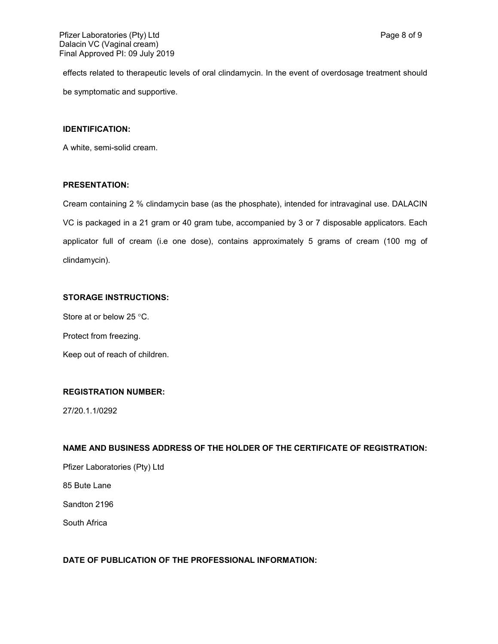effects related to therapeutic levels of oral clindamycin. In the event of overdosage treatment should be symptomatic and supportive.

#### **IDENTIFICATION:**

A white, semi-solid cream.

## **PRESENTATION:**

Cream containing 2 % clindamycin base (as the phosphate), intended for intravaginal use. DALACIN VC is packaged in a 21 gram or 40 gram tube, accompanied by 3 or 7 disposable applicators. Each applicator full of cream (i.e one dose), contains approximately 5 grams of cream (100 mg of clindamycin).

# **STORAGE INSTRUCTIONS:**

Store at or below 25  $\degree$ C.

Protect from freezing.

Keep out of reach of children.

## **REGISTRATION NUMBER:**

27/20.1.1/0292

## **NAME AND BUSINESS ADDRESS OF THE HOLDER OF THE CERTIFICATE OF REGISTRATION:**

Pfizer Laboratories (Pty) Ltd

85 Bute Lane

Sandton 2196

South Africa

## **DATE OF PUBLICATION OF THE PROFESSIONAL INFORMATION:**